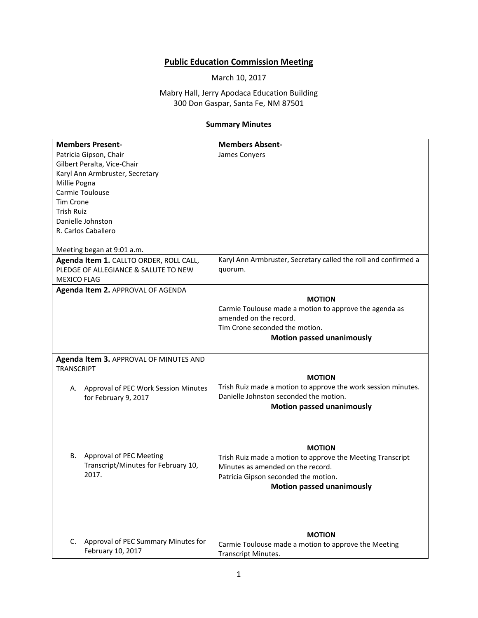## **Public Education Commission Meeting**

March 10, 2017

Mabry Hall, Jerry Apodaca Education Building 300 Don Gaspar, Santa Fe, NM 87501

## **Summary Minutes**

| <b>Members Present-</b>                    | <b>Members Absent-</b>                                          |
|--------------------------------------------|-----------------------------------------------------------------|
| Patricia Gipson, Chair                     | James Conyers                                                   |
| Gilbert Peralta, Vice-Chair                |                                                                 |
| Karyl Ann Armbruster, Secretary            |                                                                 |
| Millie Pogna                               |                                                                 |
| Carmie Toulouse                            |                                                                 |
| <b>Tim Crone</b>                           |                                                                 |
| Trish Ruiz                                 |                                                                 |
| Danielle Johnston                          |                                                                 |
| R. Carlos Caballero                        |                                                                 |
| Meeting began at 9:01 a.m.                 |                                                                 |
| Agenda Item 1. CALLTO ORDER, ROLL CALL,    | Karyl Ann Armbruster, Secretary called the roll and confirmed a |
| PLEDGE OF ALLEGIANCE & SALUTE TO NEW       | quorum.                                                         |
| <b>MEXICO FLAG</b>                         |                                                                 |
| Agenda Item 2. APPROVAL OF AGENDA          |                                                                 |
|                                            | <b>MOTION</b>                                                   |
|                                            | Carmie Toulouse made a motion to approve the agenda as          |
|                                            | amended on the record.                                          |
|                                            | Tim Crone seconded the motion.                                  |
|                                            | <b>Motion passed unanimously</b>                                |
|                                            |                                                                 |
| Agenda Item 3. APPROVAL OF MINUTES AND     |                                                                 |
| <b>TRANSCRIPT</b>                          |                                                                 |
|                                            | <b>MOTION</b>                                                   |
| Approval of PEC Work Session Minutes<br>А. | Trish Ruiz made a motion to approve the work session minutes.   |
| for February 9, 2017                       | Danielle Johnston seconded the motion.                          |
|                                            | <b>Motion passed unanimously</b>                                |
|                                            |                                                                 |
|                                            |                                                                 |
|                                            |                                                                 |
|                                            | <b>MOTION</b>                                                   |
| Approval of PEC Meeting<br>В.              | Trish Ruiz made a motion to approve the Meeting Transcript      |
| Transcript/Minutes for February 10,        | Minutes as amended on the record.                               |
| 2017.                                      | Patricia Gipson seconded the motion.                            |
|                                            | <b>Motion passed unanimously</b>                                |
|                                            |                                                                 |
|                                            |                                                                 |
|                                            |                                                                 |
|                                            |                                                                 |
|                                            | <b>MOTION</b>                                                   |
| Approval of PEC Summary Minutes for<br>C.  | Carmie Toulouse made a motion to approve the Meeting            |
| February 10, 2017                          | Transcript Minutes.                                             |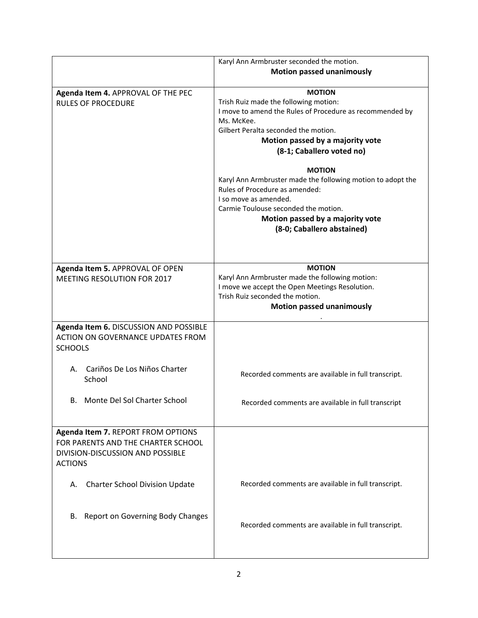|                                                                                                                                | Karyl Ann Armbruster seconded the motion.<br><b>Motion passed unanimously</b>                                                                                                                                                                     |
|--------------------------------------------------------------------------------------------------------------------------------|---------------------------------------------------------------------------------------------------------------------------------------------------------------------------------------------------------------------------------------------------|
| Agenda Item 4. APPROVAL OF THE PEC<br><b>RULES OF PROCEDURE</b>                                                                | <b>MOTION</b><br>Trish Ruiz made the following motion:<br>I move to amend the Rules of Procedure as recommended by<br>Ms. McKee.<br>Gilbert Peralta seconded the motion.<br>Motion passed by a majority vote<br>(8-1; Caballero voted no)         |
|                                                                                                                                | <b>MOTION</b><br>Karyl Ann Armbruster made the following motion to adopt the<br>Rules of Procedure as amended:<br>I so move as amended.<br>Carmie Toulouse seconded the motion.<br>Motion passed by a majority vote<br>(8-0; Caballero abstained) |
| Agenda Item 5. APPROVAL OF OPEN<br>MEETING RESOLUTION FOR 2017                                                                 | <b>MOTION</b><br>Karyl Ann Armbruster made the following motion:<br>I move we accept the Open Meetings Resolution.<br>Trish Ruiz seconded the motion.<br><b>Motion passed unanimously</b>                                                         |
| Agenda Item 6. DISCUSSION AND POSSIBLE<br>ACTION ON GOVERNANCE UPDATES FROM<br><b>SCHOOLS</b>                                  |                                                                                                                                                                                                                                                   |
| Cariños De Los Niños Charter<br>А.<br>School                                                                                   | Recorded comments are available in full transcript.                                                                                                                                                                                               |
| Monte Del Sol Charter School<br>В.                                                                                             | Recorded comments are available in full transcript                                                                                                                                                                                                |
| Agenda Item 7. REPORT FROM OPTIONS<br>FOR PARENTS AND THE CHARTER SCHOOL<br>DIVISION-DISCUSSION AND POSSIBLE<br><b>ACTIONS</b> |                                                                                                                                                                                                                                                   |
| <b>Charter School Division Update</b><br>А.                                                                                    | Recorded comments are available in full transcript.                                                                                                                                                                                               |
| Report on Governing Body Changes<br>В.                                                                                         | Recorded comments are available in full transcript.                                                                                                                                                                                               |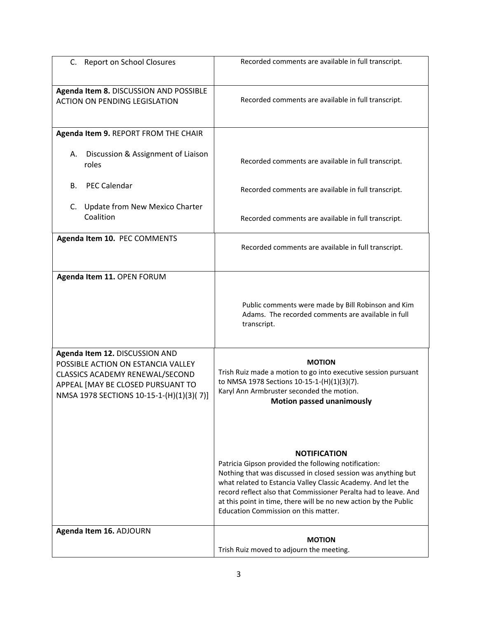| C. Report on School Closures                                                                                                                                                             | Recorded comments are available in full transcript.                                                                                                                                                                                                                                                                                                                                         |
|------------------------------------------------------------------------------------------------------------------------------------------------------------------------------------------|---------------------------------------------------------------------------------------------------------------------------------------------------------------------------------------------------------------------------------------------------------------------------------------------------------------------------------------------------------------------------------------------|
| Agenda Item 8. DISCUSSION AND POSSIBLE<br><b>ACTION ON PENDING LEGISLATION</b>                                                                                                           | Recorded comments are available in full transcript.                                                                                                                                                                                                                                                                                                                                         |
| Agenda Item 9. REPORT FROM THE CHAIR                                                                                                                                                     |                                                                                                                                                                                                                                                                                                                                                                                             |
| Discussion & Assignment of Liaison<br>А.<br>roles                                                                                                                                        | Recorded comments are available in full transcript.                                                                                                                                                                                                                                                                                                                                         |
| <b>PEC Calendar</b><br>В.                                                                                                                                                                | Recorded comments are available in full transcript.                                                                                                                                                                                                                                                                                                                                         |
| Update from New Mexico Charter<br>C.<br>Coalition                                                                                                                                        | Recorded comments are available in full transcript.                                                                                                                                                                                                                                                                                                                                         |
| Agenda Item 10. PEC COMMENTS                                                                                                                                                             | Recorded comments are available in full transcript.                                                                                                                                                                                                                                                                                                                                         |
| Agenda Item 11. OPEN FORUM                                                                                                                                                               |                                                                                                                                                                                                                                                                                                                                                                                             |
|                                                                                                                                                                                          | Public comments were made by Bill Robinson and Kim<br>Adams. The recorded comments are available in full<br>transcript.                                                                                                                                                                                                                                                                     |
| Agenda Item 12. DISCUSSION AND<br>POSSIBLE ACTION ON ESTANCIA VALLEY<br>CLASSICS ACADEMY RENEWAL/SECOND<br>APPEAL [MAY BE CLOSED PURSUANT TO<br>NMSA 1978 SECTIONS 10-15-1-(H)(1)(3)(7)] | <b>MOTION</b><br>Trish Ruiz made a motion to go into executive session pursuant<br>to NMSA 1978 Sections 10-15-1-(H)(1)(3)(7).<br>Karyl Ann Armbruster seconded the motion.<br><b>Motion passed unanimously</b>                                                                                                                                                                             |
|                                                                                                                                                                                          | <b>NOTIFICATION</b><br>Patricia Gipson provided the following notification:<br>Nothing that was discussed in closed session was anything but<br>what related to Estancia Valley Classic Academy. And let the<br>record reflect also that Commissioner Peralta had to leave. And<br>at this point in time, there will be no new action by the Public<br>Education Commission on this matter. |
| Agenda Item 16. ADJOURN                                                                                                                                                                  | <b>MOTION</b><br>Trish Ruiz moved to adjourn the meeting.                                                                                                                                                                                                                                                                                                                                   |